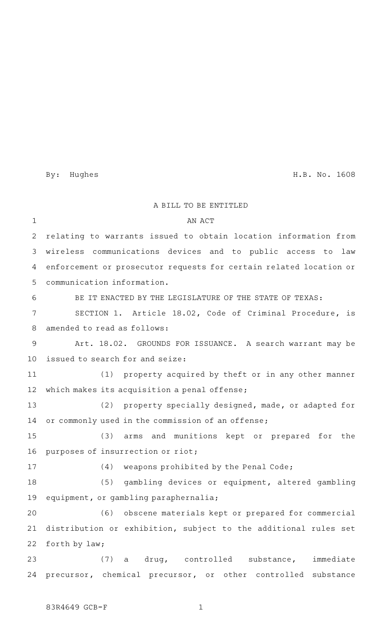By: Hughes H.B. No. 1608

A BILL TO BE ENTITLED AN ACT relating to warrants issued to obtain location information from wireless communications devices and to public access to law enforcement or prosecutor requests for certain related location or communication information. BE IT ENACTED BY THE LEGISLATURE OF THE STATE OF TEXAS: SECTION 1. Article 18.02, Code of Criminal Procedure, is amended to read as follows: Art. 18.02. GROUNDS FOR ISSUANCE. A search warrant may be issued to search for and seize:  $(1)$  property acquired by theft or in any other manner which makes its acquisition a penal offense; (2) property specially designed, made, or adapted for or commonly used in the commission of an offense; (3) arms and munitions kept or prepared for the purposes of insurrection or riot;  $(4)$  weapons prohibited by the Penal Code; (5) gambling devices or equipment, altered gambling equipment, or gambling paraphernalia; (6) obscene materials kept or prepared for commercial distribution or exhibition, subject to the additional rules set forth by law; (7) a drug, controlled substance, immediate precursor, chemical precursor, or other controlled substance 1 2 3 4 5 6 7 8 9 10 11 12 13 14 15 16 17 18 19 20 21 22 23 24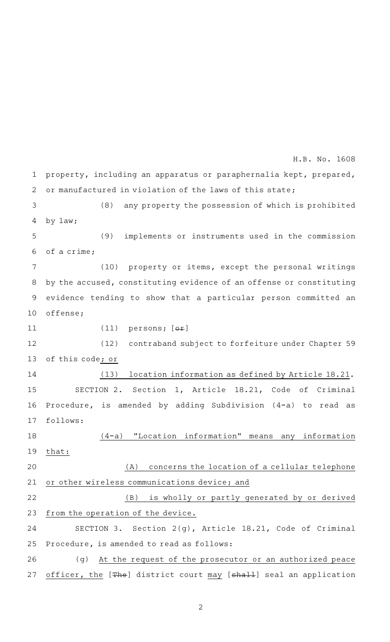property, including an apparatus or paraphernalia kept, prepared, or manufactured in violation of the laws of this state;  $(8)$  any property the possession of which is prohibited by law; (9) implements or instruments used in the commission of a crime; (10) property or items, except the personal writings by the accused, constituting evidence of an offense or constituting evidence tending to show that a particular person committed an offense; (11)  $persons; [\theta \pm]$ (12) contraband subject to forfeiture under Chapter 59 of this code; or (13) location information as defined by Article 18.21. SECTION 2. Section 1, Article 18.21, Code of Criminal Procedure, is amended by adding Subdivision (4-a) to read as follows: (4-a) "Location information" means any information that: (A) concerns the location of a cellular telephone or other wireless communications device; and (B) is wholly or partly generated by or derived from the operation of the device. SECTION 3. Section 2(g), Article 18.21, Code of Criminal Procedure, is amended to read as follows: (g) At the request of the prosecutor or an authorized peace officer, the [The] district court may [shall] seal an application 1 2 3 4 5 6 7 8 9 10 11 12 13 14 15 16 17 18 19 20 21 22 23 24 25 26 27 H.B. No. 1608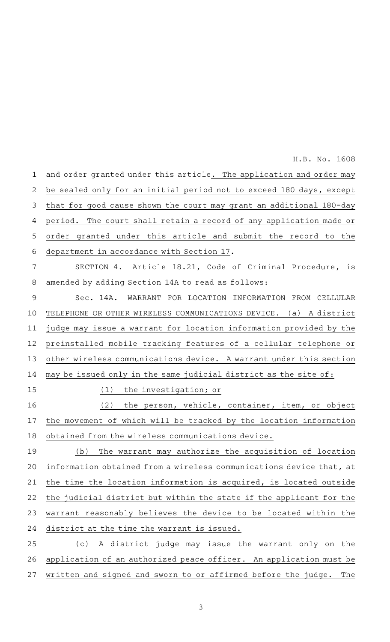H.B. No. 1608

and order granted under this article. The application and order may be sealed only for an initial period not to exceed 180 days, except that for good cause shown the court may grant an additional 180-day period. The court shall retain a record of any application made or order granted under this article and submit the record to the department in accordance with Section 17. SECTION 4. Article 18.21, Code of Criminal Procedure, is amended by adding Section 14A to read as follows: Sec. 14A. WARRANT FOR LOCATION INFORMATION FROM CELLULAR TELEPHONE OR OTHER WIRELESS COMMUNICATIONS DEVICE. (a) A district judge may issue a warrant for location information provided by the preinstalled mobile tracking features of a cellular telephone or other wireless communications device. A warrant under this section may be issued only in the same judicial district as the site of:  $(1)$  the investigation; or (2) the person, vehicle, container, item, or object the movement of which will be tracked by the location information obtained from the wireless communications device. (b) The warrant may authorize the acquisition of location information obtained from a wireless communications device that, at the time the location information is acquired, is located outside the judicial district but within the state if the applicant for the warrant reasonably believes the device to be located within the district at the time the warrant is issued. (c)AAA district judge may issue the warrant only on the application of an authorized peace officer. An application must be written and signed and sworn to or affirmed before the judge. The 1 2 3 4 5 6 7 8 9 10 11 12 13 14 15 16 17 18 19 20 21 22 23 24 25 26 27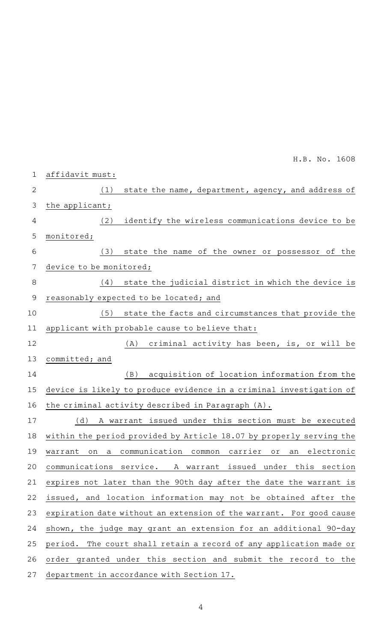affidavit must:  $(1)$  state the name, department, agency, and address of the applicant; (2) identify the wireless communications device to be monitored; (3) state the name of the owner or possessor of the device to be monitored; (4) state the judicial district in which the device is reasonably expected to be located; and (5) state the facts and circumstances that provide the applicant with probable cause to believe that:  $(A)$  criminal activity has been, is, or will be committed; and (B) acquisition of location information from the device is likely to produce evidence in a criminal investigation of the criminal activity described in Paragraph (A). (d)AAA warrant issued under this section must be executed within the period provided by Article 18.07 by properly serving the warrant on a communication common carrier or an electronic communications service. A warrant issued under this section expires not later than the 90th day after the date the warrant is issued, and location information may not be obtained after the expiration date without an extension of the warrant. For good cause shown, the judge may grant an extension for an additional 90-day period. The court shall retain a record of any application made or order granted under this section and submit the record to the department in accordance with Section 17. 1 2 3 4 5 6 7 8 9 10 11 12 13 14 15 16 17 18 19 20 21 22 23 24 25 26 27 H.B. No. 1608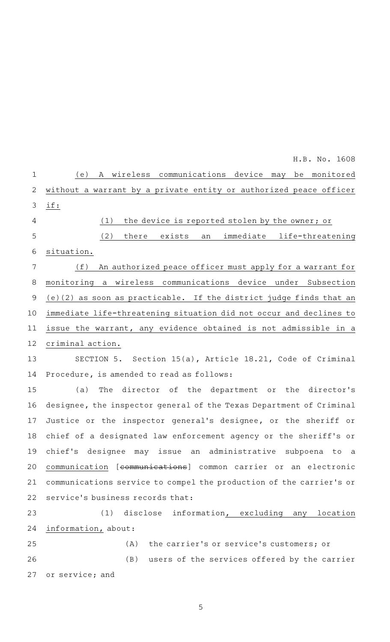|             | H.B. No. 1608                                                       |
|-------------|---------------------------------------------------------------------|
| $\mathbf 1$ | (e) A wireless communications device may be monitored               |
| 2           | without a warrant by a private entity or authorized peace officer   |
| 3           | if:                                                                 |
| 4           | (1)<br>the device is reported stolen by the owner; or               |
| 5           | (2)<br>there exists<br>an immediate life-threatening                |
| 6           | situation.                                                          |
| 7           | (f)<br>An authorized peace officer must apply for a warrant for     |
| 8           | monitoring a wireless communications device under Subsection        |
| 9           | (e)(2) as soon as practicable. If the district judge finds that an  |
| 10          | immediate life-threatening situation did not occur and declines to  |
| 11          | issue the warrant, any evidence obtained is not admissible in a     |
| 12          | criminal action.                                                    |
| 13          | SECTION 5. Section 15(a), Article 18.21, Code of Criminal           |
| 14          | Procedure, is amended to read as follows:                           |
| 15          | The director of the department or the director's<br>(a)             |
| 16          | designee, the inspector general of the Texas Department of Criminal |
| 17          | Justice or the inspector general's designee, or the sheriff or      |
| 18          | chief of a designated law enforcement agency or the sheriff's or    |
| 19          | chief's designee may issue an administrative subpoena to a          |
| 20          | communication [communications] common carrier or an electronic      |
| 21          | communications service to compel the production of the carrier's or |
| 22          | service's business records that:                                    |
| 23          | (1) disclose information, excluding any location                    |
| 24          | information, about:                                                 |
| 25          | (A) the carrier's or service's customers; or                        |
| 26          | (B) users of the services offered by the carrier                    |
| 27          | or service; and                                                     |
|             |                                                                     |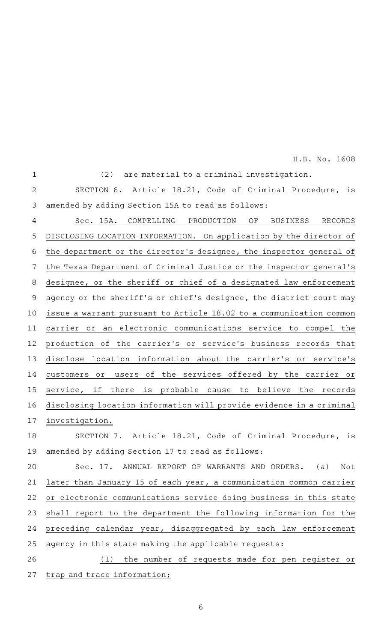H.B. No. 1608

| $\mathbf 1$    | are material to a criminal investigation.<br>(2)                       |
|----------------|------------------------------------------------------------------------|
| $\overline{2}$ | SECTION 6. Article 18.21, Code of Criminal Procedure, is               |
| 3              | amended by adding Section 15A to read as follows:                      |
| 4              | Sec. 15A.<br>COMPELLING PRODUCTION<br>ΟF<br><b>BUSINESS</b><br>RECORDS |
| 5              | DISCLOSING LOCATION INFORMATION. On application by the director of     |
| 6              | the department or the director's designee, the inspector general of    |
| 7              | the Texas Department of Criminal Justice or the inspector general's    |
| 8              | designee, or the sheriff or chief of a designated law enforcement      |
| $\mathcal{G}$  | agency or the sheriff's or chief's designee, the district court may    |
| 10             | issue a warrant pursuant to Article 18.02 to a communication common    |
| 11             | electronic communications service to compel the<br>carrier<br>Оľ<br>an |
| 12             | production of the carrier's or service's business records that         |
| 13             | disclose location information about the carrier's or service's         |
| 14             | users of the services offered by the carrier or<br>customers or        |
| 15             | service, if there<br>is probable cause to believe<br>the<br>records    |
| 16             | disclosing location information will provide evidence in a criminal    |
| 17             | investigation.                                                         |
| 18             | SECTION 7. Article 18.21, Code of Criminal Procedure,<br>is            |
| 19             | amended by adding Section 17 to read as follows:                       |
| 20             | Sec. 17. ANNUAL REPORT OF WARRANTS AND ORDERS.<br>(a)<br>Not           |
| 21             | later than January 15 of each year, a communication common carrier     |
| 22             | or electronic communications service doing business in this state      |
| 23             | shall report to the department the following information for the       |
| 24             | preceding calendar year, disaggregated by each law enforcement         |
| 25             | agency in this state making the applicable requests:                   |
| 26             | (1)<br>the number of requests made for pen register or                 |
| 27             | trap and trace information;                                            |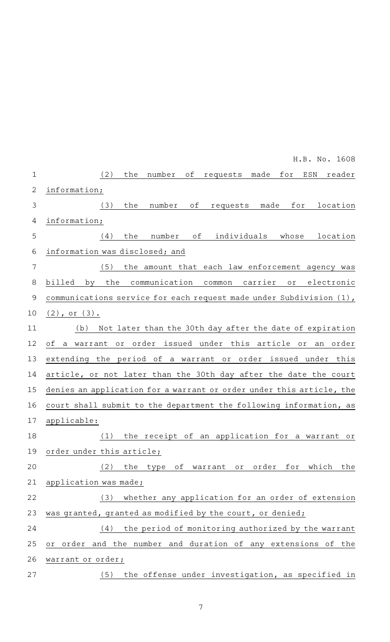|              | H.B. No. 1608                                                                             |
|--------------|-------------------------------------------------------------------------------------------|
| $\mathbf 1$  | for ESN<br>(2)<br>the<br>number<br>оf<br>requests made<br>reader                          |
| $\mathbf{2}$ | information;                                                                              |
| 3            | (3)<br>the<br>number<br>of<br>requests<br>made<br>for<br>location                         |
| 4            | information;                                                                              |
| 5            | number<br>of<br>individuals whose<br>(4)<br>the<br>location                               |
| 6            | information was disclosed; and                                                            |
| 7            | (5)<br>the amount that each law enforcement agency was                                    |
| 8            | communication<br>the<br>carrier<br>billed<br>electronic<br>by<br>common<br>O <sub>T</sub> |
| $\mathsf 9$  | communications service for each request made under Subdivision (1),                       |
| 10           | $(2)$ , or $(3)$ .                                                                        |
| 11           | (b)<br>Not later than the 30th day after the date of expiration                           |
| 12           | of a warrant or order issued under this article or<br>an order                            |
| 13           | extending the period of a warrant or order issued under this                              |
| 14           | article, or not later than the 30th day after the date the court                          |
| 15           | denies an application for a warrant or order under this article, the                      |
| 16           | court shall submit to the department the following information, as                        |
| 17           | applicable:                                                                               |
| 18           | the receipt of an application for a warrant or<br>(1)                                     |
| 19           | order under this article;                                                                 |
| 20           | the type of warrant or order for which the<br>(2)                                         |
| 21           | application was made;                                                                     |
| 22           | (3) whether any application for an order of extension                                     |
| 23           | was granted, granted as modified by the court, or denied;                                 |
| 24           | the period of monitoring authorized by the warrant<br>(4)                                 |
| 25           | or order and the number and duration of any extensions of the                             |
| 26           | warrant or order;                                                                         |
| 27           | the offense under investigation, as specified in<br>(5)                                   |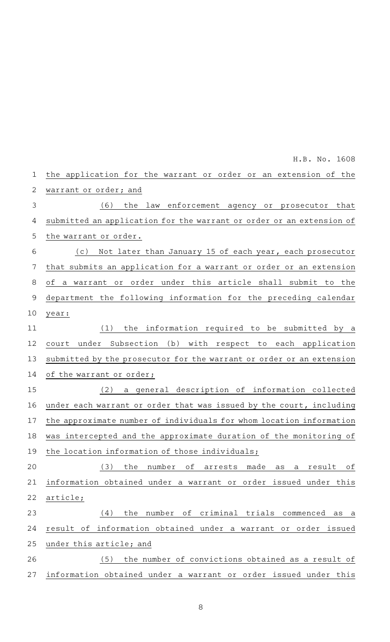the application for the warrant or order or an extension of the warrant or order; and (6) the law enforcement agency or prosecutor that submitted an application for the warrant or order or an extension of the warrant or order. (c) Not later than January 15 of each year, each prosecutor that submits an application for a warrant or order or an extension of a warrant or order under this article shall submit to the department the following information for the preceding calendar year:  $(1)$  the information required to be submitted by a court under Subsection (b) with respect to each application submitted by the prosecutor for the warrant or order or an extension of the warrant or order; (2) a general description of information collected under each warrant or order that was issued by the court, including the approximate number of individuals for whom location information was intercepted and the approximate duration of the monitoring of the location information of those individuals; (3) the number of arrests made as a result of information obtained under a warrant or order issued under this article;  $(4)$  the number of criminal trials commenced as a result of information obtained under a warrant or order issued under this article; and (5) the number of convictions obtained as a result of information obtained under a warrant or order issued under this 1 2 3 4 5 6 7 8 9 10 11 12 13 14 15 16 17 18 19 20 21 22 23 24 25 26 27

H.B. No. 1608